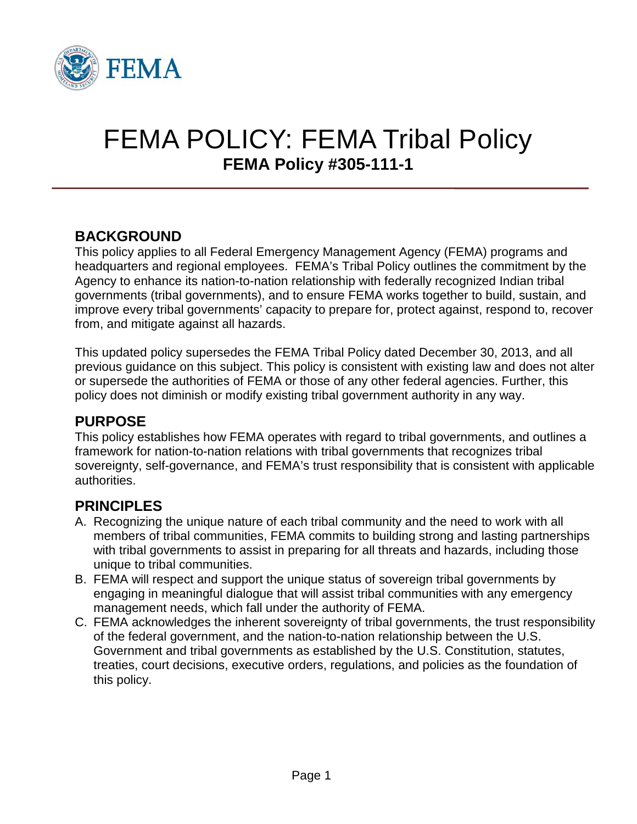

# FEMA POLICY: FEMA Tribal Policy **FEMA Policy #305-111-1**

# **BACKGROUND**

This policy applies to all Federal Emergency Management Agency (FEMA) programs and headquarters and regional employees. FEMA's Tribal Policy outlines the commitment by the Agency to enhance its nation-to-nation relationship with federally recognized Indian tribal governments (tribal governments), and to ensure FEMA works together to build, sustain, and improve every tribal governments' capacity to prepare for, protect against, respond to, recover from, and mitigate against all hazards.

This updated policy supersedes the FEMA Tribal Policy dated December 30, 2013, and all previous guidance on this subject. This policy is consistent with existing law and does not alter or supersede the authorities of FEMA or those of any other federal agencies. Further, this policy does not diminish or modify existing tribal government authority in any way.

# **PURPOSE**

This policy establishes how FEMA operates with regard to tribal governments, and outlines a framework for nation-to-nation relations with tribal governments that recognizes tribal sovereignty, self-governance, and FEMA's trust responsibility that is consistent with applicable authorities.

# **PRINCIPLES**

- A. Recognizing the unique nature of each tribal community and the need to work with all members of tribal communities, FEMA commits to building strong and lasting partnerships with tribal governments to assist in preparing for all threats and hazards, including those unique to tribal communities.
- B. FEMA will respect and support the unique status of sovereign tribal governments by engaging in meaningful dialogue that will assist tribal communities with any emergency management needs, which fall under the authority of FEMA.
- C. FEMA acknowledges the inherent sovereignty of tribal governments, the trust responsibility of the federal government, and the nation-to-nation relationship between the U.S. Government and tribal governments as established by the U.S. Constitution, statutes, treaties, court decisions, executive orders, regulations, and policies as the foundation of this policy.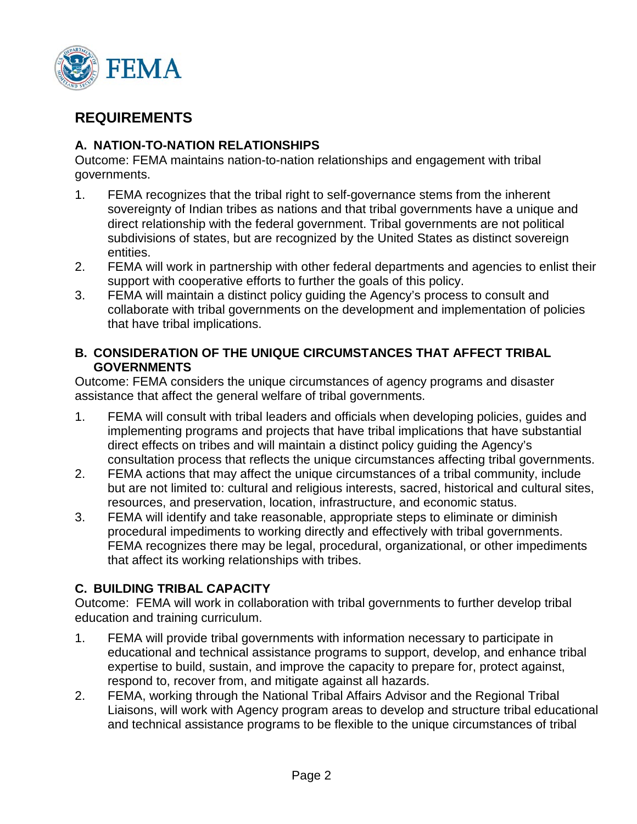

# **REQUIREMENTS**

### **A. NATION-TO-NATION RELATIONSHIPS**

Outcome: FEMA maintains nation-to-nation relationships and engagement with tribal governments.

- 1. FEMA recognizes that the tribal right to self-governance stems from the inherent sovereignty of Indian tribes as nations and that tribal governments have a unique and direct relationship with the federal government. Tribal governments are not political subdivisions of states, but are recognized by the United States as distinct sovereign entities.
- 2. FEMA will work in partnership with other federal departments and agencies to enlist their support with cooperative efforts to further the goals of this policy.
- 3. FEMA will maintain a distinct policy guiding the Agency's process to consult and collaborate with tribal governments on the development and implementation of policies that have tribal implications.

#### **B. CONSIDERATION OF THE UNIQUE CIRCUMSTANCES THAT AFFECT TRIBAL GOVERNMENTS**

Outcome: FEMA considers the unique circumstances of agency programs and disaster assistance that affect the general welfare of tribal governments.

- 1. FEMA will consult with tribal leaders and officials when developing policies, guides and implementing programs and projects that have tribal implications that have substantial direct effects on tribes and will maintain a distinct policy guiding the Agency's consultation process that reflects the unique circumstances affecting tribal governments.
- 2. FEMA actions that may affect the unique circumstances of a tribal community, include but are not limited to: cultural and religious interests, sacred, historical and cultural sites, resources, and preservation, location, infrastructure, and economic status.
- 3. FEMA will identify and take reasonable, appropriate steps to eliminate or diminish procedural impediments to working directly and effectively with tribal governments. FEMA recognizes there may be legal, procedural, organizational, or other impediments that affect its working relationships with tribes.

### **C. BUILDING TRIBAL CAPACITY**

Outcome: FEMA will work in collaboration with tribal governments to further develop tribal education and training curriculum.

- 1. FEMA will provide tribal governments with information necessary to participate in educational and technical assistance programs to support, develop, and enhance tribal expertise to build, sustain, and improve the capacity to prepare for, protect against, respond to, recover from, and mitigate against all hazards.
- 2. FEMA, working through the National Tribal Affairs Advisor and the Regional Tribal Liaisons, will work with Agency program areas to develop and structure tribal educational and technical assistance programs to be flexible to the unique circumstances of tribal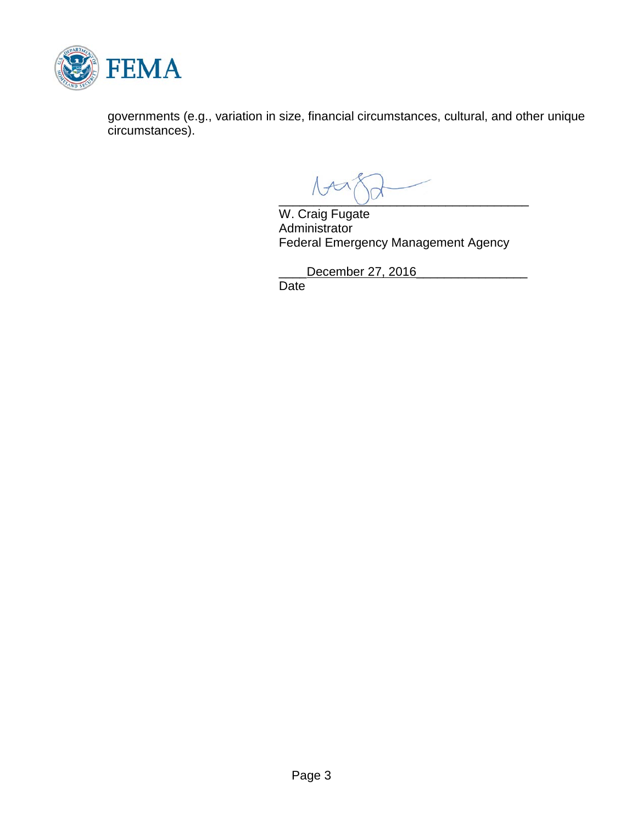

governments (e.g., variation in size, financial circumstances, cultural, and other unique circumstances).

 $\overline{\phantom{a}}$ 

W. Craig Fugate **Administrator** Federal Emergency Management Agency

\_\_\_\_December 27, 2016\_\_\_\_\_\_\_\_\_\_\_\_\_\_\_\_

**Date**